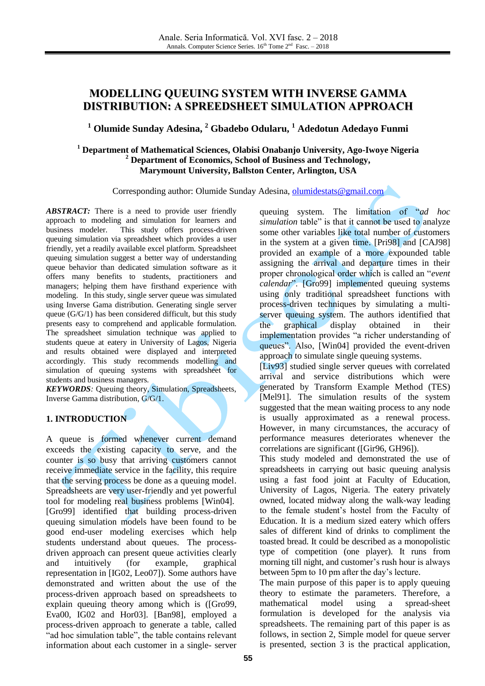# **MODELLING QUEUING SYSTEM WITH INVERSE GAMMA DISTRIBUTION: A SPREEDSHEET SIMULATION APPROACH**

# **<sup>1</sup> Olumide Sunday Adesina, <sup>2</sup> Gbadebo Odularu, <sup>1</sup> Adedotun Adedayo Funmi**

# **<sup>1</sup> Department of Mathematical Sciences, Olabisi Onabanjo University, Ago-Iwoye Nigeria <sup>2</sup> Department of Economics, School of Business and Technology, Marymount University, Ballston Center, Arlington, USA**

## Corresponding author: Olumide Sunday Adesina, [olumidestats@gmail.com](mailto:olumidestats@gmail.com)

*ABSTRACT:* There is a need to provide user friendly approach to modeling and simulation for learners and business modeler. This study offers process-driven queuing simulation via spreadsheet which provides a user friendly, yet a readily available excel platform. Spreadsheet queuing simulation suggest a better way of understanding queue behavior than dedicated simulation software as it offers many benefits to students, practitioners and managers; helping them have firsthand experience with modeling. In this study, single server queue was simulated using Inverse Gama distribution. Generating single server queue (G/G/1) has been considered difficult, but this study presents easy to comprehend and applicable formulation. The spreadsheet simulation technique was applied to students queue at eatery in University of Lagos, Nigeria and results obtained were displayed and interpreted accordingly. This study recommends modelling and simulation of queuing systems with spreadsheet for students and business managers.

*KEYWORDS:* Queuing theory, Simulation, Spreadsheets, Inverse Gamma distribution, G/G/1.

# **1. INTRODUCTION**

A queue is formed whenever current demand exceeds the existing capacity to serve, and the counter is so busy that arriving customers cannot receive immediate service in the facility, this require that the serving process be done as a queuing model. Spreadsheets are very user-friendly and yet powerful tool for modeling real business problems [Win04]. [Gro99] identified that building process-driven queuing simulation models have been found to be good end-user modeling exercises which help students understand about queues. The processdriven approach can present queue activities clearly and intuitively (for example, graphical representation in [I[G02,](http://archive.ite.journal.informs.org/Vol7No2/Leong/#Grossman2002) Leo07]). Some authors have demonstrated and written about the use of the process-driven approach based on spreadsheets to explain queuing theory among which is ([Gro99, Eva00, IG02 and Hor03]. [Ban98], employed a process-driven approach to generate a table, called "ad hoc simulation table", the table contains relevant information about each customer in a single- server

queuing system. The limitation of "*ad hoc simulation* table" is that it cannot be used to analyze some other variables like total number of customers in the system at a given time. [Pri98] and [CAJ98] provided an example of a more expounded table assigning the arrival and departure times in their proper chronological order which is called an "*event calendar*". [Gro99] implemented queuing systems using only traditional spreadsheet functions with process-driven techniques by simulating a multiserver queuing system. The authors identified that the graphical display obtained in their implementation provides "a richer understanding of queues". Also, [Win04] provided the event-driven approach to simulate single queuing systems.

[Liv93] studied single server queues with correlated arrival and service distributions which were generated by Transform Example Method (TES) [Mel91]. The simulation results of the system suggested that the mean waiting process to any node is usually approximated as a renewal process. However, in many circumstances, the accuracy of performance measures deteriorates whenever the correlations are significant ([Gir96, GH96]).

This study modeled and demonstrated the use of spreadsheets in carrying out basic queuing analysis using a fast food joint at Faculty of Education, University of Lagos, Nigeria. The eatery privately owned, located midway along the walk-way leading to the female student's hostel from the Faculty of Education. It is a medium sized eatery which offers sales of different kind of drinks to compliment the toasted bread. It could be described as a monopolistic type of competition (one player). It runs from morning till night, and customer's rush hour is always between 5pm to 10 pm after the day's lecture.

The main purpose of this paper is to apply queuing theory to estimate the parameters. Therefore, a mathematical model using a spread-sheet formulation is developed for the analysis via spreadsheets. The remaining part of this paper is as follows, in section 2, Simple model for queue server is presented, section 3 is the practical application,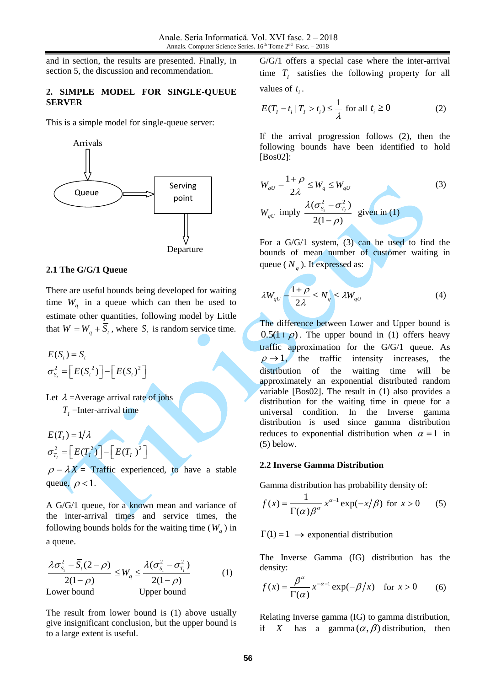and in section, the results are presented. Finally, in section 5, the discussion and recommendation.

## **2. SIMPLE MODEL FOR SINGLE-QUEUE SERVER**

This is a simple model for single-queue server:



## **2.1 The G/G/1 Queue**

There are useful bounds being developed for waiting time  $W_q$  in a queue which can then be used to estimate other quantities, following model by Little that  $W = W_q + S_t$ , where  $S_t$  is random service time.

$$
E(St) = St
$$
  

$$
\sigma_{St}^2 = \left[E(St2)\right] - \left[E(St)^2\right]
$$

Let  $\lambda$  = Average arrival rate of jobs  $T_{I}$  =Inter-arrival time

 $\sigma_{T_I}^2 = \left[E(T_I^2)\right] - \left[E(T_I)^2\right]$  $E(T_I) = 1/\lambda$  $=\left[E(T_l^2)\right]-\left[E(T_l)^2\right]$ 

 $\rho = \lambda X =$  Traffic experienced, to have a stable queue,  $\rho < 1$ .

A G/G/1 queue, for a known mean and variance of the inter-arrival times and service times, the following bounds holds for the waiting time  $(W_q)$  in a queue.

$$
\frac{\lambda \sigma_{S_i}^2 - \overline{S}_i (2 - \rho)}{2(1 - \rho)} \le W_q \le \frac{\lambda (\sigma_{S_i}^2 - \sigma_{T_i}^2)}{2(1 - \rho)}
$$
 (1)  
Lower bound Upper bound

The result from lower bound is (1) above usually give insignificant conclusion, but the upper bound is to a large extent is useful.

G/G/1 offers a special case where the inter-arrival time  $T_I$  satisfies the following property for all values of  $t_i$ .

$$
E(T_t - t_i | T_t > t_i) \le \frac{1}{\lambda} \text{ for all } t_i \ge 0
$$
 (2)

If the arrival progression follows (2), then the following bounds have been identified to hold [Bos02]:

$$
W_{qU} - \frac{1+\rho}{2\lambda} \le W_q \le W_{qU}
$$
  
\n
$$
W_{qU} \text{ imply } \frac{\lambda(\sigma_{S_i}^2 - \sigma_{T_i}^2)}{2(1-\rho)} \text{ given in (1)}
$$
\n(3)

For a G/G/1 system, (3) can be used to find the bounds of mean number of customer waiting in queue ( $N_q$ ). It expressed as:

$$
\lambda W_{qU} - \frac{1+\rho}{2\lambda} \le N_q \le \lambda W_{qU} \tag{4}
$$

The difference between Lower and Upper bound is  $0.5(1+\rho)$ . The upper bound in (1) offers heavy traffic approximation for the G/G/1 queue. As  $\rho \rightarrow 1$ , the traffic intensity increases, the distribution of the waiting time will be approximately an exponential distributed random variable [Bos02]. The result in (1) also provides a distribution for the waiting time in queue for a universal condition. In the Inverse gamma distribution is used since gamma distribution reduces to exponential distribution when  $\alpha = 1$  in (5) below.

### **2.2 Inverse Gamma Distribution**

Gamma distribution has probability density of:

$$
f(x) = \frac{1}{\Gamma(\alpha)\beta^{\alpha}} x^{\alpha-1} \exp(-x/\beta) \text{ for } x > 0 \qquad (5)
$$

 $\Gamma(1) = 1 \rightarrow$  exponential distribution

The Inverse Gamma (IG) distribution has the density:

$$
f(x) = \frac{\beta^{\alpha}}{\Gamma(\alpha)} x^{-\alpha - 1} \exp(-\beta/x) \quad \text{for } x > 0 \qquad (6)
$$

Relating Inverse gamma (IG) to gamma distribution, if X has a gamma $(\alpha, \beta)$  distribution, then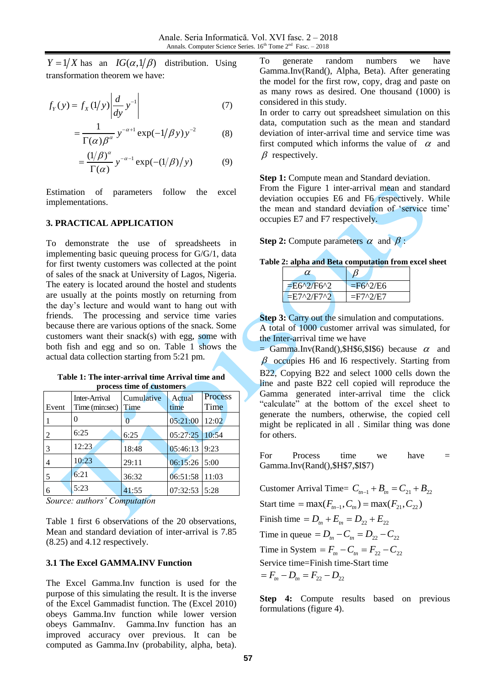has an  $IG(\alpha, 1/\beta)$  distribution. Using transformation theorem we have:

$$
f_Y(y) = f_X(1/y) \left| \frac{d}{dy} y^{-1} \right| \tag{7}
$$

$$
=\frac{1}{\Gamma(\alpha)\beta^{\alpha}}y^{-\alpha+1}\exp(-1/\beta y)y^{-2}
$$
 (8)

$$
=\frac{(1/\beta)^{\alpha}}{\Gamma(\alpha)}y^{-\alpha-1}\exp(-(1/\beta)/y)\tag{9}
$$

Estimation of parameters follow the excel implementations.

### **3. PRACTICAL APPLICATION**

 $Y = 1/X$  has an  $IG(\alpha, 1/\beta)$  distribution. Using<br>transformation theorem we have:<br>  $f_Y(y) = f_X(1/y) \left| \frac{d}{dy} y^{-1} \right|$  (7)<br>  $= \frac{1}{\Gamma(\alpha)} \frac{y}{\beta^{\alpha}} y^{-1} \exp(-1/\beta y) y^{-2}$  (8)<br>  $= \frac{(1/\beta)^{\alpha}}{\Gamma(\alpha)} y^{-\alpha-1} \exp(-1/\beta) / y$  (9)<br>
Estimation of param To demonstrate the use of spreadsheets in implementing basic queuing process for G/G/1, data for first twenty customers was collected at the point of sales of the snack at University of Lagos, Nigeria. The eatery is located around the hostel and students are usually at the points mostly on returning from the day's lecture and would want to hang out with friends. The processing and service time varies because there are various options of the snack. Some customers want their snack(s) with egg, some with both fish and egg and so on. Table 1 shows the actual data collection starting from 5:21 pm.

| Table 1: The inter-arrival time Arrival time and |
|--------------------------------------------------|
| process time of customers                        |

| Event | Inter-Arrival<br>Time (min:sec) | Cumulative<br>Time | Actual<br>time | Process<br>Time |
|-------|---------------------------------|--------------------|----------------|-----------------|
|       | 0                               |                    | 05:21:00       | 12:02           |
| 2     | 6:25                            | 6:25               | 05:27:25       | 10:54           |
|       | 12:23                           | 18:48              | 05:46:13       | 9:23            |
|       | 10:23                           | 29:11              | 06:15:26       | 5:00            |
| 5     | 6:21                            | 36:32              | 06:51:58       | 11:03           |
| 6     | 5:23                            | 41:55              | 07:32:53       | 5:28            |

*Source: authors' Computation*

Table 1 first 6 observations of the 20 observations, Mean and standard deviation of inter-arrival is 7.85 (8.25) and 4.12 respectively.

### **3.1 The Excel GAMMA.INV Function**

The Excel Gamma.Inv function is used for the purpose of this simulating the result. It is the inverse of the Excel Gammadist function. The (Excel 2010) obeys Gamma.Inv function while lower version obeys GammaInv. Gamma.Inv function has an improved accuracy over previous. It can be computed as Gamma.Inv (probability, alpha, beta).

To generate random numbers we have Gamma.Inv(Rand(), Alpha, Beta). After generating the model for the first row, copy, drag and paste on as many rows as desired. One thousand (1000) is considered in this study.

In order to carry out spreadsheet simulation on this data, computation such as the mean and standard deviation of inter-arrival time and service time was first computed which informs the value of  $\alpha$  and  $\beta$  respectively.

**Step 1:** Compute mean and Standard deviation.

From the Figure 1 inter-arrival mean and standard deviation occupies E6 and F6 respectively. While the mean and standard deviation of 'service time' occupies E7 and F7 respectively.

**Step 2:** Compute parameters  $\alpha$  and  $\beta$ :

| α               |                                            |
|-----------------|--------------------------------------------|
| $E6^{2}/F6^{2}$ | $=$ F6 <sup><math>\lambda</math>2/E6</sup> |
| $E7^0/FT^0$     | $=$ F7^2/E7                                |

**Step 3:** Carry out the simulation and computations. A total of 1000 customer arrival was simulated, for the Inter-arrival time we have

 $=$  Gamma.Inv(Rand(),\$H\$6,\$I\$6) because  $\alpha$  and  $\beta$  occupies H6 and I6 respectively. Starting from B22, Copying B22 and select 1000 cells down the line and paste B22 cell copied will reproduce the Gamma generated inter-arrival time the click "calculate" at the bottom of the excel sheet to generate the numbers, otherwise, the copied cell might be replicated in all . Similar thing was done for others.

For Process time we have  $=$ Gamma.Inv(Rand(),\$H\$7,\$I\$7)

Customer Arrival Time=  $C_{m-1} + B_m = C_{21} + B_{22}$ Start time = max( $F_{m-1}$ ,  $C_m$ ) = max( $F_{21}$ ,  $C_{22}$ ) Finish time =  $D_m + E_m = D_{22} + E_{22}$ Time in queue =  $D_{tn} - C_{tn} = D_{22} - C_{22}$ Time in System =  $F_{tn} - C_{tn} = F_{22} - C_{22}$ Service time=Finish time-Start time  $F_{1n} - D_{1n} = F_{22} - D_{22}$ 

**Step 4:** Compute results based on previous formulations (figure 4).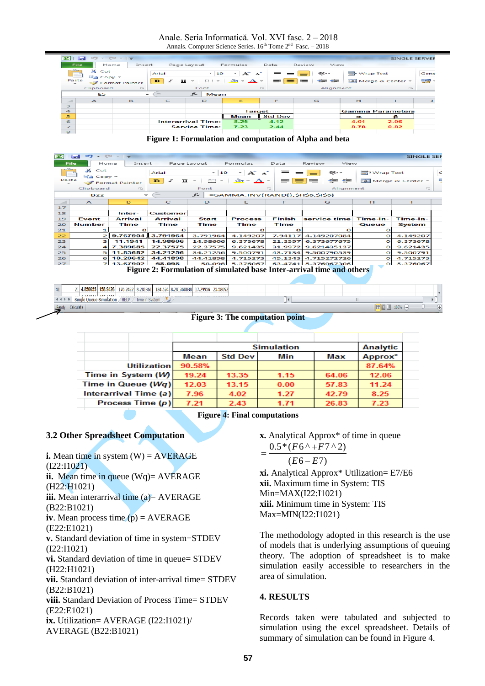Anale. Seria Informatică. Vol. XVI fasc. 2 – 2018 Annals. Computer Science Series.  $16<sup>th</sup>$  Tome  $2<sup>nd</sup>$  Fasc.  $-2018$ 

| œ                | <b>Section</b>  | $ \approx$       | $-1$<br>$\Rightarrow$    |                                    |                                                                |                                        |                  |                   |                          | <b>SINGLE SERVER</b>    |      |
|------------------|-----------------|------------------|--------------------------|------------------------------------|----------------------------------------------------------------|----------------------------------------|------------------|-------------------|--------------------------|-------------------------|------|
|                  | File.           | Home             | Insert                   |                                    | Page Layout                                                    | Formulas                               | Data             | View<br>Review    |                          |                         |      |
|                  |                 | a6.<br>Cut       |                          | Arial                              | $-10$                                                          | $A^{\sim}$ $A^{\sim}$<br>$\sim$        | $=$<br>$=$       | $\infty$ -        | <b>The Wrap Text</b>     |                         | Gene |
|                  | Paste<br>$\sim$ |                  | Format Painter           | $\mathbf{B}$<br>$\mathcal{I}$<br>U | 111111<br>$\overline{\phantom{a}}$<br>$\overline{\phantom{a}}$ | $A -$<br>չ<br>$\overline{\phantom{a}}$ | 毒<br>$\equiv$ 1  | $\equiv$<br>御天 御天 |                          | Fax Merge & Center      | 중요   |
|                  |                 | Clipboard        | $F_{\rm BH}$             |                                    | Font                                                           |                                        | $F_{\text{out}}$ | Alianment         |                          | Fair                    |      |
|                  |                 | E5               | $\overline{\phantom{a}}$ | $-$                                | $f_{\infty}$<br>Mean                                           |                                        |                  |                   |                          |                         |      |
| $\sim$           |                 | $\triangleright$ | B                        | C                                  | D                                                              | Е                                      | F                | G                 | н                        |                         |      |
| з                |                 |                  |                          |                                    |                                                                |                                        |                  |                   |                          |                         |      |
| $\blacktriangle$ |                 |                  |                          |                                    |                                                                | <b>Target</b>                          |                  |                   |                          | <b>Gamma Parameters</b> |      |
| 5                |                 |                  |                          |                                    |                                                                | Mean                                   | <b>Std Dev</b>   |                   | $\overline{\phantom{a}}$ | в                       |      |
| 6 <sup>2</sup>   |                 |                  |                          |                                    | <b>Interarrival Time:</b>                                      | 8.25                                   | 4.12             |                   | 4.01                     | 2.06                    |      |
| $\overline{z}$   |                 |                  |                          |                                    | <b>Service Time:</b>                                           | 7.23                                   | 2.44             |                   | 8.78                     | 0.82                    |      |
| $\bullet$        |                 |                  |                          |                                    |                                                                |                                        |                  |                   |                          |                         |      |

**Figure 1: Formulation and computation of Alpha and beta**

| <b>EXI</b>    | $C = -1$<br><b>SINGLE SEF</b><br><b>Section</b><br>$\overline{\phantom{0}}$        |                     |                        |                                                                |                                    |                |                                  |                      |                    |   |
|---------------|------------------------------------------------------------------------------------|---------------------|------------------------|----------------------------------------------------------------|------------------------------------|----------------|----------------------------------|----------------------|--------------------|---|
|               | <b>File</b><br>Page Layout<br>View<br>Home<br>Insert<br>Formulas<br>Data<br>Review |                     |                        |                                                                |                                    |                |                                  |                      |                    |   |
| $\frac{1}{2}$ | ക<br>Cut<br>$\equiv$ Copy $\sim$                                                   |                     | Arial                  | $-10$                                                          | $A^{\sim}$ $A^{\sim}$              |                | ≫∽∼                              | <b>The Wrap Text</b> |                    | C |
| Paste         |                                                                                    | Format Painter      | x<br>$\mathbf{B}$<br>U | papa :<br>$\overline{\phantom{a}}$<br>$\overline{\phantom{a}}$ | չ<br>$A -$                         | 三言             | 11-11-12 11:00 12:00<br>$\equiv$ |                      | Fax Merge & Center |   |
|               | Clipboard                                                                          | Fair                |                        | Font                                                           |                                    | $\overline{1}$ | Alignment                        |                      | $\overline{1}$ and |   |
|               | <b>B22</b>                                                                         | ÷                   | $-$                    | $f_{\rm sc}$                                                   | =GAMMA.INV(RAND(), \$H\$6, \$I\$6) |                |                                  |                      |                    |   |
| $\sim$        | $\triangleright$                                                                   | B                   | C                      | D.                                                             | Е                                  | F              | G                                | H                    |                    |   |
| 17            |                                                                                    |                     |                        |                                                                |                                    |                |                                  |                      |                    |   |
| 18            |                                                                                    | Inter-              | Customer               |                                                                |                                    |                |                                  |                      |                    |   |
| 19            | Event                                                                              | Arrival             | Arrival                | <b>Start</b>                                                   | <b>Process</b>                     | Finish         | service time                     | Time-in-             | Time-in-           |   |
| 20            | Number                                                                             | Time                | Time                   | Time                                                           | Time                               | Time           |                                  | Queue                | System             |   |
| 21            |                                                                                    | $\Omega$            | $\Omega$               |                                                                | $\Omega$                           | $\Omega$       | Ω                                | $\circ$              |                    |   |
| 22            |                                                                                    | 2 9.767904 3.791964 |                        | 3.791964                                                       | 4.149207                           | 7.94117        | 4.149207084                      | $\circ$              | 4.149207           |   |
| 23            | з                                                                                  | 11.1941             | 14.98606               | 14.98606                                                       | 6.373678                           | 21.3597        | 6.373677675                      | $\Omega$             | 6.373678           |   |
| 24            | л                                                                                  | 7.389685            | 22.37575               | 22.37575                                                       | 9.621435                           | 31.9972        | 9.621435137                      | $\Omega$             | 9.621435           |   |
| 25            | 5                                                                                  | 11.83682            | 34.21256               | 34.21256                                                       | 9.500791                           | 43.7134        | 9.500790539                      | $\Omega$             | 9.500791           |   |
| 26            | 6                                                                                  | 10.20642            | 44.41898               | 44.41898                                                       | 4.715273                           | 49.1343        | 4.715272726                      | $\mathbf{o}$         | 4.715273           |   |
| 27            |                                                                                    | 7 13.67902          | 58.098                 | 58.098                                                         | 5.376067                           | 63.4741        | 5.376067306                      | οI                   | 5.376067           |   |

**Figure 2: Formulation of simulated base Inter-arrival time and others**

21 4.850655 158.9426 176.2422 8.281361 184.524 8.281360838 17.29956 25.58092 **H + > H** Single Queue Simulation HELP Time in System ady Calculate

**Figure 3: The computation point**

 $\sqrt{4}$ 

|                       |                    |        |                | <b>Simulation</b> |       | Analytic |  |
|-----------------------|--------------------|--------|----------------|-------------------|-------|----------|--|
|                       |                    | Mean   | <b>Std Dev</b> | Min               | Max   | Approx*  |  |
|                       | <b>Utilization</b> | 90.58% |                |                   |       | 87.64%   |  |
| Time in System (W)    |                    | 19.24  | 13.35          | 1.15              | 64.06 | 12.06    |  |
| Time in Queue $(Wq)$  |                    | 12.03  | 13.15          | 0.00              | 57.83 | 11.24    |  |
| Interarrival Time (a) |                    | 7.96   | 4.02           | 1.27              | 42.79 | 8.25     |  |
|                       | Process Time (p)   | 7.21   | 2.43           | 1.71              | 26.83 | 7.23     |  |

|  | <b>Figure 4: Final computations</b> |
|--|-------------------------------------|
|  |                                     |

## **3.2 Other Spreadsheet Computation**

**i.** Mean time in system  $(W) = AVERAGE$ (I22:I1021) **ii.** Mean time in queue (Wq)= AVERAGE (H22:H1021) **iii.** Mean interarrival time (a)= AVERAGE (B22:B1021) **iv**. Mean process time  $(p) = AVERAGE$ (E22:E1021) **v.** Standard deviation of time in system=STDEV (I22:I1021) **vi.** Standard deviation of time in queue= STDEV (H22:H1021) **vii.** Standard deviation of inter-arrival time= STDEV (B22:B1021) **viii.** Standard Deviation of Process Time= STDEV (E22:E1021) **ix.** Utilization= AVERAGE (I22:I1021)/ AVERAGE (B22:B1021)

**x.** Analytical Approx\* of time in queue  $0.5*(F6 \wedge +F7 \wedge 2)$  $=$ 

$$
\overline{(E6-E7)}
$$

**xi.** Analytical Approx\* Utilization= E7/E6 **xii.** Maximum time in System: TIS Min=MAX(I22:I1021) **xiii.** Minimum time in System: TIS Max=MIN(I22:I1021)

The methodology adopted in this research is the use of models that is underlying assumptions of queuing theory. The adoption of spreadsheet is to make simulation easily accessible to researchers in the area of simulation.

| 田口 100% (-

### **4. RESULTS**

Records taken were tabulated and subjected to simulation using the excel spreadsheet. Details of summary of simulation can be found in Figure 4.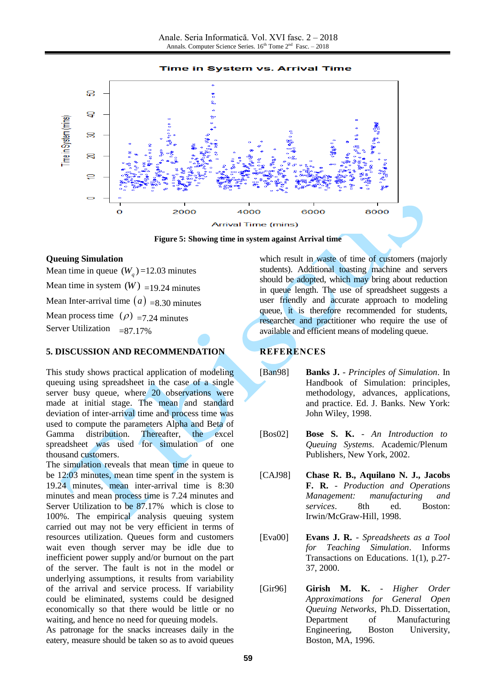

**Figure 5: Showing time in system against Arrival time**

## **Queuing Simulation**

Mean time in queue  $(W_q)$ =12.03 minutes Mean time in system  $(W)$  =19.24 minutes Mean Inter-arrival time  $(a)$  =8.30 minutes Mean process time  $(\rho)$  =7.24 minutes Server Utilization  $=87.17\%$ 

## **5. DISCUSSION AND RECOMMENDATION**

This study shows practical application of modeling queuing using spreadsheet in the case of a single server busy queue, where 20 observations were made at initial stage. The mean and standard deviation of inter-arrival time and process time was used to compute the parameters Alpha and Beta of Gamma distribution. Thereafter, the excel spreadsheet was used for simulation of one thousand customers.

The simulation reveals that mean time in queue to be 12:03 minutes, mean time spent in the system is 19.24 minutes, mean inter-arrival time is 8:30 minutes and mean process time is 7.24 minutes and Server Utilization to be 87.17% which is close to 100%. The empirical analysis queuing system carried out may not be very efficient in terms of resources utilization. Queues form and customers wait even though server may be idle due to inefficient power supply and/or burnout on the part of the server. The fault is not in the model or underlying assumptions, it results from variability of the arrival and service process. If variability could be eliminated, systems could be designed economically so that there would be little or no waiting, and hence no need for queuing models.

As patronage for the snacks increases daily in the eatery, measure should be taken so as to avoid queues

which result in waste of time of customers (majorly students). Additional toasting machine and servers should be adopted, which may bring about reduction in queue length. The use of spreadsheet suggests a user friendly and accurate approach to modeling queue, it is therefore recommended for students, researcher and practitioner who require the use of available and efficient means of modeling queue.

## **REFERENCES**

- [Ban98] **Banks J.** *Principles of Simulation*. In Handbook of Simulation: principles, methodology, advances, applications, and practice. Ed. J. Banks. New York: John Wiley, 1998.
- [Bos02] **Bose S. K.** *An Introduction to Queuing Systems*. Academic/Plenum Publishers, New York, 2002.
- [CAJ98] **Chase R. B., Aquilano N. J., Jacobs F. R.** - *Production and Operations Management: manufacturing and services*. 8th ed. Boston: Irwin/McGraw-Hill, 1998.
- [Eva00] **Evans J. R.** *Spreadsheets as a Tool for Teaching Simulation*. Informs Transactions on Educations. 1(1), p.27- 37, 2000.
- [Gir96] **Girish M. K.** *Higher Order Approximations for General Open Queuing Networks*, Ph.D. Dissertation, Department of Manufacturing Engineering, Boston University, Boston, MA, 1996.